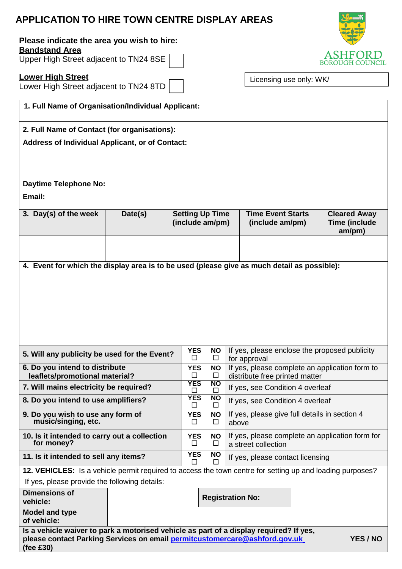# **APPLICATION TO HIRE TOWN CENTRE DISPLAY AREAS**

## **Please indicate the area you wish to hire: Bandstand Area**

Upper High Street adjacent to TN24 8SE

# **Lower High Street**

Lower High Street adjacent to TN24 8TD

Licensing use only: WK/

| 1. Full Name of Organisation/Individual Applicant:                                                                                                                                            |         |                                           |                                                                                                                            |                                             |                                  |                                  |                                                       |  |
|-----------------------------------------------------------------------------------------------------------------------------------------------------------------------------------------------|---------|-------------------------------------------|----------------------------------------------------------------------------------------------------------------------------|---------------------------------------------|----------------------------------|----------------------------------|-------------------------------------------------------|--|
| 2. Full Name of Contact (for organisations):                                                                                                                                                  |         |                                           |                                                                                                                            |                                             |                                  |                                  |                                                       |  |
| <b>Address of Individual Applicant, or of Contact:</b>                                                                                                                                        |         |                                           |                                                                                                                            |                                             |                                  |                                  |                                                       |  |
| <b>Daytime Telephone No:</b><br>Email:                                                                                                                                                        |         |                                           |                                                                                                                            |                                             |                                  |                                  |                                                       |  |
|                                                                                                                                                                                               |         |                                           |                                                                                                                            |                                             |                                  |                                  |                                                       |  |
| 3. Day(s) of the week                                                                                                                                                                         | Date(s) | <b>Setting Up Time</b><br>(include am/pm) |                                                                                                                            | <b>Time Event Starts</b><br>(include am/pm) |                                  |                                  | <b>Cleared Away</b><br><b>Time (include</b><br>am/pm) |  |
|                                                                                                                                                                                               |         |                                           |                                                                                                                            |                                             |                                  |                                  |                                                       |  |
| 4. Event for which the display area is to be used (please give as much detail as possible):                                                                                                   |         |                                           |                                                                                                                            |                                             |                                  |                                  |                                                       |  |
|                                                                                                                                                                                               |         |                                           |                                                                                                                            |                                             |                                  |                                  |                                                       |  |
| 5. Will any publicity be used for the Event?                                                                                                                                                  |         |                                           | If yes, please enclose the proposed publicity<br><b>YES</b><br><b>NO</b><br>□<br>□<br>for approval                         |                                             |                                  |                                  |                                                       |  |
| 6. Do you intend to distribute<br>leaflets/promotional material?                                                                                                                              |         |                                           | If yes, please complete an application form to<br><b>YES</b><br><b>NO</b><br>$\Box$<br>⊔<br>distribute free printed matter |                                             |                                  |                                  |                                                       |  |
| 7. Will mains electricity be required?                                                                                                                                                        |         |                                           | <b>YES</b>                                                                                                                 | <b>NO</b>                                   | If yes, see Condition 4 overleaf |                                  |                                                       |  |
| 8. Do you intend to use amplifiers?                                                                                                                                                           |         |                                           | <b>YES</b>                                                                                                                 | <b>NO</b>                                   | If yes, see Condition 4 overleaf |                                  |                                                       |  |
| 9. Do you wish to use any form of<br>music/singing, etc.                                                                                                                                      |         |                                           | If yes, please give full details in section 4<br><b>YES</b><br><b>NO</b><br>$\Box$<br>$\Box$<br>above                      |                                             |                                  |                                  |                                                       |  |
| 10. Is it intended to carry out a collection<br>for money?                                                                                                                                    |         |                                           | If yes, please complete an application form for<br><b>YES</b><br><b>NO</b><br>□<br>⊔<br>a street collection                |                                             |                                  |                                  |                                                       |  |
| 11. Is it intended to sell any items?                                                                                                                                                         |         |                                           | <b>YES</b><br>ΙI                                                                                                           | <b>NO</b><br>LΙ                             |                                  | If yes, please contact licensing |                                                       |  |
| 12. VEHICLES: Is a vehicle permit required to access the town centre for setting up and loading purposes?                                                                                     |         |                                           |                                                                                                                            |                                             |                                  |                                  |                                                       |  |
| If yes, please provide the following details:                                                                                                                                                 |         |                                           |                                                                                                                            |                                             |                                  |                                  |                                                       |  |
| <b>Dimensions of</b><br>vehicle:                                                                                                                                                              |         |                                           |                                                                                                                            | <b>Registration No:</b>                     |                                  |                                  |                                                       |  |
| <b>Model and type</b><br>of vehicle:                                                                                                                                                          |         |                                           |                                                                                                                            |                                             |                                  |                                  |                                                       |  |
| Is a vehicle waiver to park a motorised vehicle as part of a display required? If yes,<br>please contact Parking Services on email permitcustomercare@ashford.gov.uk<br>YES / NO<br>(fee £30) |         |                                           |                                                                                                                            |                                             |                                  |                                  |                                                       |  |

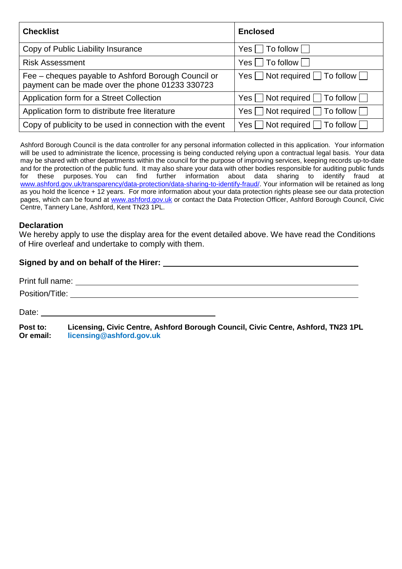| <b>Checklist</b>                                                                                       | <b>Enclosed</b>                                 |
|--------------------------------------------------------------------------------------------------------|-------------------------------------------------|
| Copy of Public Liability Insurance                                                                     | $Yes \Box To follow \Box$                       |
| <b>Risk Assessment</b>                                                                                 | $Yes \Box To follow \Box$                       |
| Fee – cheques payable to Ashford Borough Council or<br>payment can be made over the phone 01233 330723 | Yes $\Box$ Not required $\Box$ To follow $\Box$ |
| Application form for a Street Collection                                                               | $Yes \Box Not required \Box To follow \Box$     |
| Application form to distribute free literature                                                         | $Yes \Box$ Not required $\Box$ To follow $\Box$ |
| Copy of publicity to be used in connection with the event                                              | Yes $\Box$ Not required $\Box$ To follow $\Box$ |

Ashford Borough Council is the data controller for any personal information collected in this application. Your information will be used to administrate the licence, processing is being conducted relying upon a contractual legal basis. Your data may be shared with other departments within the council for the purpose of improving services, keeping records up-to-date and for the protection of the public fund. It may also share your data with other bodies responsible for auditing public funds<br>for these purposes. You can find further information about data sharing to identify fraud at for these purposes. You can find further information about data sharing to identify [www.ashford.gov.uk/transparency/data-protection/data-sharing-to-identify-fraud/.](http://www.ashford.gov.uk/transparency/data-protection/data-sharing-to-identify-fraud/) Your information will be retained as long as you hold the licence + 12 years. For more information about your data protection rights please see our data protection pages, which can be found at [www.ashford.gov.uk](http://www.ashford.gov.uk/) or contact the Data Protection Officer, Ashford Borough Council, Civic Centre, Tannery Lane, Ashford, Kent TN23 1PL.

# **Declaration**

We hereby apply to use the display area for the event detailed above. We have read the Conditions of Hire overleaf and undertake to comply with them.

# **Signed by and on behalf of the Hirer:**

|                       | Position/Title: the contract of the contract of the contract of the contract of the contract of the contract of the contract of the contract of the contract of the contract of the contract of the contract of the contract o |
|-----------------------|--------------------------------------------------------------------------------------------------------------------------------------------------------------------------------------------------------------------------------|
|                       | Date: the contract of the contract of the contract of the contract of the contract of the contract of the contract of the contract of the contract of the contract of the contract of the contract of the contract of the cont |
| Post to:<br>Or email: | Licensing, Civic Centre, Ashford Borough Council, Civic Centre, Ashford, TN23 1PL<br>licensing@ashford.gov.uk                                                                                                                  |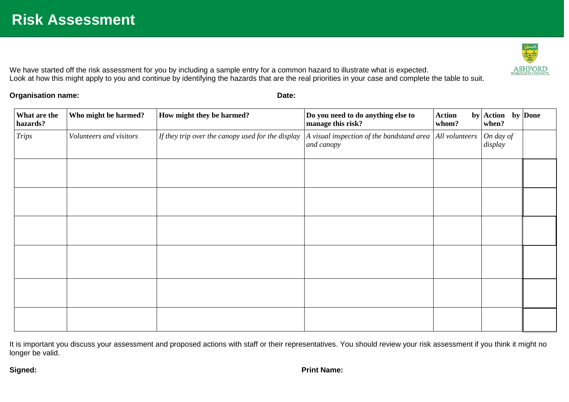We have started off the risk assessment for you by including a sample entry for a common hazard to illustrate what is expected. Look at how this might apply to you and continue by identifying the hazards that are the real priorities in your case and complete the table to suit.

**Organisation name: Date:**

| What are the<br>hazards? | Who might be harmed?    | How might they be harmed?                         | Do you need to do anything else to<br>manage this risk?                        | <b>Action</b><br>whom? | by $\operatorname{\sf{Action}}$ by Done<br>when? |  |
|--------------------------|-------------------------|---------------------------------------------------|--------------------------------------------------------------------------------|------------------------|--------------------------------------------------|--|
| <b>Trips</b>             | Volunteers and visitors | If they trip over the canopy used for the display | A visual inspection of the bandstand area $\vert$ All volunteers<br>and canopy |                        | On day of<br>display                             |  |
|                          |                         |                                                   |                                                                                |                        |                                                  |  |
|                          |                         |                                                   |                                                                                |                        |                                                  |  |
|                          |                         |                                                   |                                                                                |                        |                                                  |  |
|                          |                         |                                                   |                                                                                |                        |                                                  |  |
|                          |                         |                                                   |                                                                                |                        |                                                  |  |
|                          |                         |                                                   |                                                                                |                        |                                                  |  |

It is important you discuss your assessment and proposed actions with staff or their representatives. You should review your risk assessment if you think it might no longer be valid.